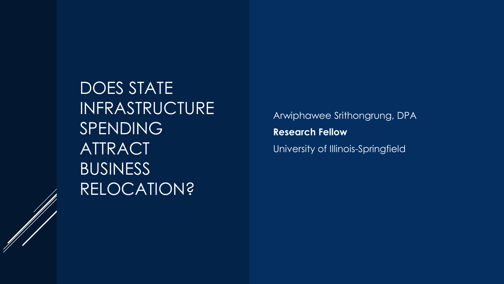DOES STATE INFRASTRUCTURE SPENDING ATTRACT BUSINESS RELOCATION?

Arwiphawee Srithongrung, DPA **Research Fellow** University of Illinois-Springfield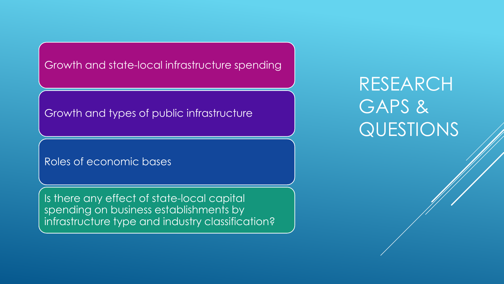Growth and state-local infrastructure spending

### Growth and types of public infrastructure

#### Roles of economic bases

Is there any effect of state-local capital spending on business establishments by infrastructure type and industry classification?

# RESEARCH GAPS & QUESTIONS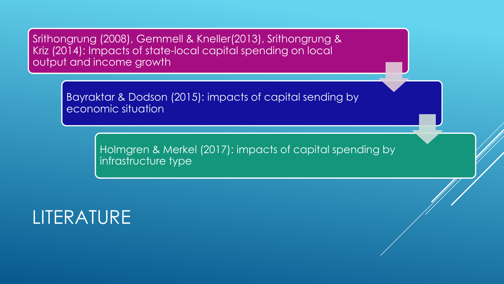Srithongrung (2008), Gemmell & Kneller(2013), Srithongrung & Kriz (2014): Impacts of state-local capital spending on local output and income growth

> Bayraktar & Dodson (2015): impacts of capital sending by economic situation

> > Holmgren & Merkel (2017): impacts of capital spending by infrastructure type

## LITERATURE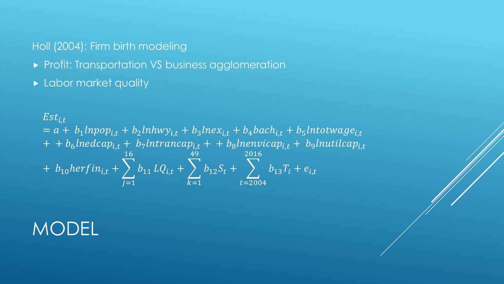### Holl (2004): Firm birth modeling

- **Profit: Transportation VS business agglomeration**
- **Labor market quality**

$$
Est_{i,t}
$$
  
=  $a + b_1$ lnpop<sub>i,t</sub> +  $b_2$ lnhwy<sub>i,t</sub> +  $b_3$ lnex<sub>i,t</sub> +  $b_4$ bach<sub>i,t</sub> +  $b_5$ Intotwage<sub>i,t</sub>  
+ +  $b_6$ lnedcap<sub>i,t</sub> +  $b_7$ lntrancap<sub>i,t</sub> + +  $b_8$ lnenvicap<sub>i,t</sub> +  $b_9$ lnutilcap<sub>i,t</sub>  
+  $b_{10}$ herfin<sub>i,t</sub> +  $\sum_{j=1}^{16} b_{11} LQ_{i,t} + \sum_{k=1}^{49} b_{12}S_t + \sum_{t=2004}^{2016} b_{13}T_i + e_{i,t}$ 

## MODEL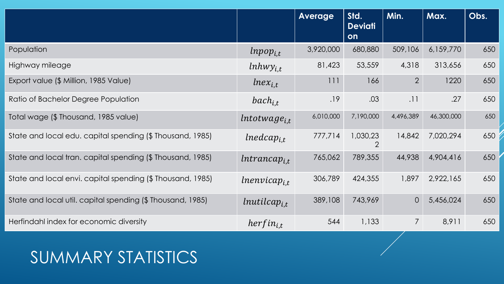|                                                            |                        | <b>Average</b> | Std.<br><b>Deviati</b><br>on | Min.           | Max.       | Obs. |
|------------------------------------------------------------|------------------------|----------------|------------------------------|----------------|------------|------|
| Population                                                 | $lnpop_{i,t}$          | 3,920,000      | 680,880                      | 509,106        | 6,159,770  | 650  |
| Highway mileage                                            | $lnhwy$ <sub>i.t</sub> | 81,423         | 53,559                       | 4,318          | 313,656    | 650  |
| Export value (\$ Million, 1985 Value)                      | $lnex_{i,t}$           | 111            | 166                          | $\overline{2}$ | 1220       | 650  |
| Ratio of Bachelor Degree Population                        | $bach_{i.t}$           | .19            | .03                          | .11            | .27        | 650  |
| Total wage (\$ Thousand, 1985 value)                       | $Intot wage_{i.t}$     | 6,010,000      | 7,190,000                    | 4,496,389      | 46,300,000 | 650  |
| State and local edu. capital spending (\$ Thousand, 1985)  | $Inedcap_{i,t}$        | 777,714        | 1,030,23<br>$\overline{2}$   | 14,842         | 7,020,294  | 650  |
| State and local tran. capital spending (\$ Thousand, 1985) | $Intrancap_{i,t}$      | 765,062        | 789,355                      | 44,938         | 4,904,416  | 650  |
| State and local envi. capital spending (\$ Thousand, 1985) | $lnenvicap_{i.t}$      | 306,789        | 424,355                      | 1,897          | 2,922,165  | 650  |
| State and local util. capital spending (\$ Thousand, 1985) | $l$ nutilca $p_{i,t}$  | 389,108        | 743,969                      | $\overline{O}$ | 5,456,024  | 650  |
| Herfindahl index for economic diversity                    | $herfin_{i,t}$         | 544            | 1,133                        | $\overline{7}$ | 8,911      | 650  |

## SUMMARY STATISTICS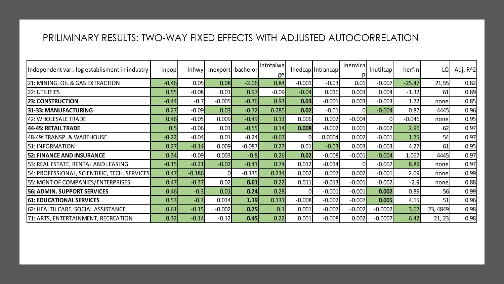#### PRILIMINARY RESULTS: TWO-WAY FIXED EFFECTS WITH ADJUSTED AUTOCORRELATION

| Independent var.: log establisment in industry | Inpopl  | Inhwyl   | Inexport | bachelor | Intotalwa<br>ge |          | InedcaplIntrancapl | Inenvical | Inutilcapl | herfinl  | LQ       | Adj. R <sup>^2</sup> |
|------------------------------------------------|---------|----------|----------|----------|-----------------|----------|--------------------|-----------|------------|----------|----------|----------------------|
| 21: MINING, OIL & GAS EXTRACTION               | $-0.46$ | 0.05     | 0.08     | $-2.06$  | 0.84            | $-0.001$ | $-0.03$            | 0.01      | $-0.007$   | $-25.47$ | 21,55    | 0.82                 |
| 22: UTILITIES                                  | 0.55    | $-0.08$  | 0.01     | 0.97     | $-0.09$         | $-0.04$  | 0.016              | 0.003     | 0.004      | $-1.32$  | 61       | 0.89                 |
| <b>23: CONSTRUCTION</b>                        | $-0.44$ | $-0.7$   | $-0.005$ | $-0.76$  | 0.93            | 0.03     | $-0.001$           | 0.003     | $-0.003$   | 1.72     | none     | 0.85                 |
| 31-33: MANUFACTURING                           | 0.27    | $-0.09$  | 0.03     | $-0.72$  | 0.285           | 0.02     | $-0.01$            |           | $-0.004$   | 0.87     | 4445     | 0.96                 |
| 42: WHOLESALE TRADE                            | 0.46    | $-0.05$  | 0.009    | $-0.49$  | 0.13            | 0.006    | 0.002              | $-0.004$  |            | $-0.046$ | none     | 0.95                 |
| 44-45: RETAIL TRADE                            | 0.5     | $-0.06$  | 0.01     | $-0.55$  | 0.14            | 0.008    | $-0.002$           | 0.001     | $-0.002$   | 2.96     | 62       | 0.97                 |
| 48-49: TRANSP. & WAREHOUSE.                    | $-0.22$ | $-0.04$  | 0.01     | $-0.24$  | $-0.67$         |          | 0.0004             | 0.002     | $-0.001$   | 1.75     | 54       | 0.97                 |
| 51: INFORMATION                                | 0.27    | $-0.14$  | 0.009    | $-0.087$ | 0.27            | 0.01     | $-0.03$            | 0.003     | $-0.003$   | 4.27     | 61       | 0.95                 |
| <b>52: FINANCE AND INSURANCE</b>               | 0.34    | $-0.09$  | 0.003    | $-0.8$   | 0.26            | 0.02     | $-0.008$           | $-0.001$  | $-0.004$   | 1.067    | 4445     | 0.97                 |
| 53: REAL ESTATE, RENTAL AND LEASING            | $-0.15$ | $-0.21$  | $-0.02$  | $-0.41$  | 0.74            | 0.012    | $-0.014$           |           | $-0.002$   | 8.89     | none     | 0.97                 |
| 54: PROFESSIONAL, SCIENTIFIC, TECH. SERVICES   | 0.47    | $-0.186$ |          | $-0.135$ | 0.234           | 0.002    | 0.007              | 0.002     | $-0.001$   | 2.09     | none     | 0.99                 |
| 55: MGNT OF COMPANIES/ENTERPRISES              | 0.47    | $-0.37$  | 0.02     | 0.61     | 0.22            | 0.011    | $-0.013$           | $-0.001$  | $-0.002$   | $-2.9$   | none     | 0.88                 |
| <b>56: ADMIN. SUPPORT SERVICES</b>             | 0.46    | $-0.3$   | 0.01     | 0.24     | 0.28            | n        | $-0.001$           | $-0.001$  | 0.002      | 0.89     | 56       | 0.99                 |
| <b>61: EDUCATIONAL SERVICES</b>                | 0.53    | $-0.3$   | 0.014    | 1.19     | 0.131           | $-0.008$ | $-0.002$           | $-0.007$  | 0.005      | 4.15     | 51       | 0.96                 |
| 62: HEALTH CARE, SOCIAL ASSISTANCE             | 0.61    | $-0.15$  | $-0.002$ | 0.25     | 0.1             | 0.001    | $-0.007$           | $-0.002$  | $-0.0002$  | 3.67     | 23, 4849 | 0.98                 |
| 71: ARTS, ENTERTAINMENT, RECREATION            | 0.32    | $-0.14$  | $-0.12$  | 0.45     | 0.22            | 0.001    | $-0.008$           | 0.002     | $-0.0007$  | 6.42     | 21, 23   | 0.98                 |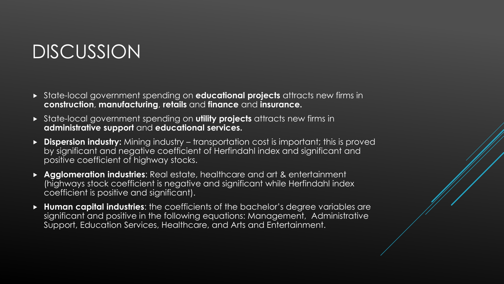## DISCUSSION

- State-local government spending on **educational projects** attracts new firms in **construction**, **manufacturing**, **retails** and **finance** and **insurance.**
- State-local government spending on **utility projects** attracts new firms in **administrative support** and **educational services.**
- **Dispersion industry:** Mining industry transportation cost is important; this is proved by significant and negative coefficient of Herfindahl index and significant and positive coefficient of highway stocks.
- **Agglomeration industries**: Real estate, healthcare and art & entertainment (highways stock coefficient is negative and significant while Herfindahl index coefficient is positive and significant).
- **Human capital industries**: the coefficients of the bachelor's degree variables are significant and positive in the following equations: Management, Administrative Support, Education Services, Healthcare, and Arts and Entertainment.